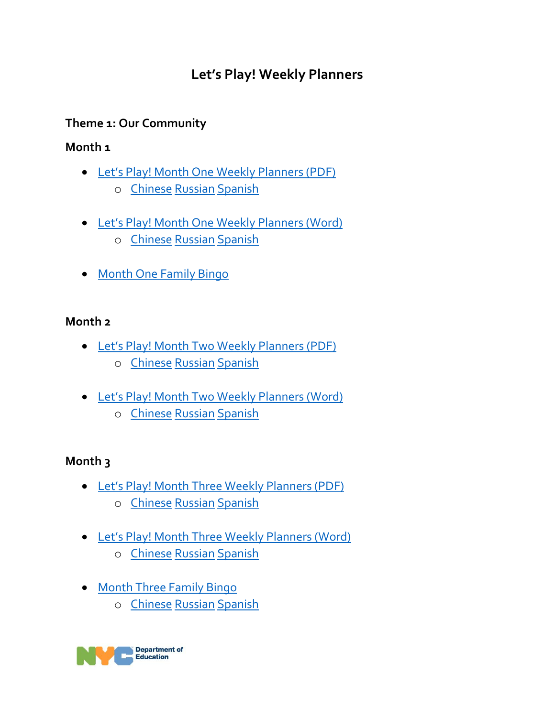# **Let's Play! Weekly Planners**

# **Theme 1: Our Community**

#### **Month 1**

- [Let's Play! Month One Weekly Planners \(PDF\)](https://infohub.nyced.org/docs/default-source/default-document-library/let) o [Chinese](https://auth-infohub.nyced.org/docs/default-source/default-document-library/let) [Russian](https://auth-infohub.nyced.org/docs/default-source/default-document-library/let) [Spanish](https://auth-infohub.nyced.org/docs/default-source/default-document-library/let)
	-
- [Let's Play! Month One Weekly Planners \(Word\)](https://infohub.nyced.org/docs/default-source/default-document-library/let) o [Chinese](https://auth-infohub.nyced.org/docs/default-source/default-document-library/let) [Russian](https://auth-infohub.nyced.org/docs/default-source/default-document-library/let) [Spanish](https://auth-infohub.nyced.org/docs/default-source/default-document-library/let)
- [Month One Family Bingo](https://infohub.nyced.org/docs/default-source/default-document-library/family-bingo.pdf)

#### **Month 2**

- [Let's Play! Month Two Weekly Planners \(PDF\)](https://infohub.nyced.org/docs/default-source/default-document-library/let) o [Chinese](https://auth-infohub.nyced.org/docs/default-source/default-document-library/let) [Russian](https://auth-infohub.nyced.org/docs/default-source/default-document-library/let) [Spanish](https://auth-infohub.nyced.org/docs/default-source/default-document-library/let)
- [Let's Play! Month Two Weekly Planners \(Word\)](https://infohub.nyced.org/docs/default-source/default-document-library/let)
	- o [Chinese](https://auth-infohub.nyced.org/docs/default-source/default-document-library/let) [Russian](https://auth-infohub.nyced.org/docs/default-source/default-document-library/let) [Spanish](https://auth-infohub.nyced.org/docs/default-source/default-document-library/let)

# **Month 3**

- [Let's Play! Month Three Weekly Planners \(PDF\)](https://infohub.nyced.org/docs/default-source/default-document-library/let) o [Chinese](https://auth-infohub.nyced.org/docs/default-source/default-document-library/let) [Russian](https://auth-infohub.nyced.org/docs/default-source/default-document-library/let) [Spanish](https://auth-infohub.nyced.org/docs/default-source/default-document-library/let)
- Let's Play! Month Thre[e Weekly Planners \(Word\)](https://infohub.nyced.org/docs/default-source/default-document-library/lets-play_-month-three-weekly-planners.docx)
	- o [Chinese](https://auth-infohub.nyced.org/docs/default-source/default-document-library/let) [Russian](https://auth-infohub.nyced.org/docs/default-source/default-document-library/let) [Spanish](https://auth-infohub.nyced.org/docs/default-source/default-document-library/let)
- [Month Three Family Bingo](https://infohub.nyced.org/docs/default-source/default-document-library/family-bingo--month-3.pdf)
	- o [Chinese](https://auth-infohub.nyced.org/docs/default-source/default-document-library/family-bingo--month-3_chinese.pdf) [Russian](https://auth-infohub.nyced.org/docs/default-source/default-document-library/family-bingo--month-3_russian.pdf) [Spanish](https://auth-infohub.nyced.org/docs/default-source/default-document-library/family-bingo--month-3_spanish.pdf)

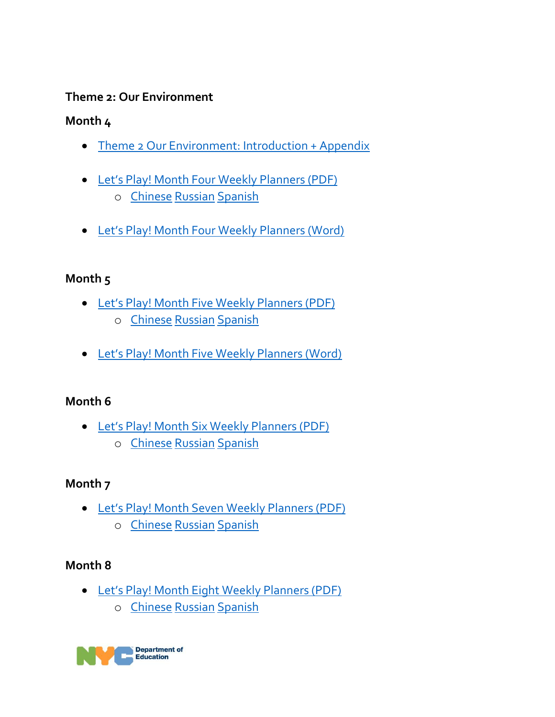#### **Theme 2: Our Environment**

# **Month 4**

- [Theme 2 Our Environment: Introduction + Appendix](https://auth-infohub.nyced.org/docs/default-source/default-document-library/let)
- [Let's Play! Month Four Weekly Planners \(PDF\)](https://auth-infohub.nyced.org/docs/default-source/default-document-library/let) o [Chinese](https://auth-infohub.nyced.org/docs/default-source/default-document-library/lets-play-month-four-weekly-planners---chinese.pdf) [Russian](https://auth-infohub.nyced.org/docs/default-source/default-document-library/lets-play-month-four-weekly-planners---russian.pdf) [Spanish](https://auth-infohub.nyced.org/docs/default-source/default-document-library/lets-play-month-four-weekly-planners---spanish.pdf)
- [Let's Play! Month Four Weekly Planners \(Word\)](https://auth-infohub.nyced.org/docs/default-source/default-document-library/let)

# **Month 5**

- Let's Play! [Month Five Weekly Planners \(PDF\)](https://auth-infohub.nyced.org/docs/default-source/default-document-library/let) o [Chinese](https://auth-infohub.nyced.org/docs/default-source/default-document-library/lets-play-month-five-weekly-planners_chinese.pdf) [Russian](https://auth-infohub.nyced.org/docs/default-source/default-document-library/lets-play-month-five-weekly-planners_russian.pdf) [Spanish](https://auth-infohub.nyced.org/docs/default-source/default-document-library/lets-play-month-five-weekly-planners_spanish.pdf)
- Let's Play! [Month Five Weekly Planners \(Word\)](https://auth-infohub.nyced.org/docs/default-source/default-document-library/let)

# **Month 6**

- [Let's Play! Month Six Weekly Planners \(PDF\)](https://auth-infohub.nyced.org/docs/default-source/default-document-library/let)
	- o [Chinese](https://auth-infohub.nyced.org/docs/default-source/default-document-library/lets-play_-month-six-weekly-planners_chinese.pdf) [Russian](https://auth-infohub.nyced.org/docs/default-source/default-document-library/lets-play_-month-six-weekly-planners_russian.pdf) [Spanish](https://auth-infohub.nyced.org/docs/default-source/default-document-library/lets-play_-month-six-weekly-planners_spanish.pdf)

# **Month 7**

- [Let's Play! Month Seven Weekly Planners \(PDF\)](https://auth-infohub.nyced.org/docs/default-source/default-document-library/lets-play-month-seven-weekly-planners.pdf)
	- o [Chinese](https://auth-infohub.nyced.org/docs/default-source/default-document-library/lets-play_-month-seven-weekly-planners---chinese.pdf) [Russian](https://auth-infohub.nyced.org/docs/default-source/default-document-library/lets-play_-month-seven-weekly-planners--russian.pdf) [Spanish](https://auth-infohub.nyced.org/docs/default-source/default-document-library/lets-play_-month-seven-weekly-planners-spanish.pdf)

# **Month 8**

- [Let's Play! Month Eight Weekly Planners \(PDF\)](https://auth-infohub.nyced.org/docs/default-source/default-document-library/lets-play---month-eight-weekly-planners.pdf)
	- o [Chinese](https://auth-infohub.nyced.org/docs/default-source/default-document-library/lets-play---month-eight-weekly-planners---chinese.pdf) [Russian](https://auth-infohub.nyced.org/docs/default-source/default-document-library/lets-play---month-eight-weekly-planners---russian.pdf) [Spanish](https://auth-infohub.nyced.org/docs/default-source/default-document-library/lets-play---month-eight-weekly-planners---spanish.pdf)